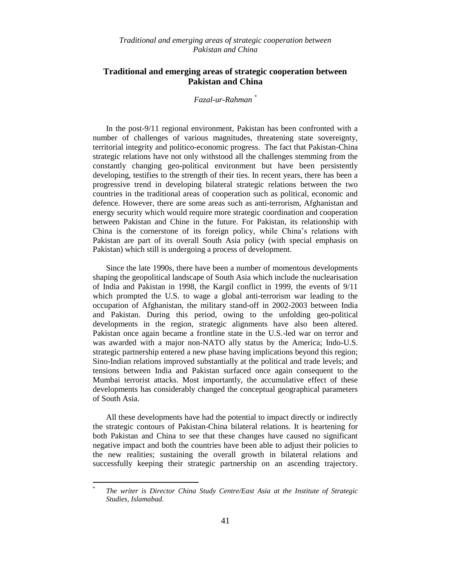# **Traditional and emerging areas of strategic cooperation between Pakistan and China**

#### *Fazal-ur-Rahman \**

In the post-9/11 regional environment, Pakistan has been confronted with a number of challenges of various magnitudes, threatening state sovereignty, territorial integrity and politico-economic progress. The fact that Pakistan-China strategic relations have not only withstood all the challenges stemming from the constantly changing geo-political environment but have been persistently developing, testifies to the strength of their ties. In recent years, there has been a progressive trend in developing bilateral strategic relations between the two countries in the traditional areas of cooperation such as political, economic and defence. However, there are some areas such as anti-terrorism, Afghanistan and energy security which would require more strategic coordination and cooperation between Pakistan and Chine in the future. For Pakistan, its relationship with China is the cornerstone of its foreign policy, while China"s relations with Pakistan are part of its overall South Asia policy (with special emphasis on Pakistan) which still is undergoing a process of development.

Since the late 1990s, there have been a number of momentous developments shaping the geopolitical landscape of South Asia which include the nuclearisation of India and Pakistan in 1998, the Kargil conflict in 1999, the events of 9/11 which prompted the U.S. to wage a global anti-terrorism war leading to the occupation of Afghanistan, the military stand-off in 2002-2003 between India and Pakistan. During this period, owing to the unfolding geo-political developments in the region, strategic alignments have also been altered. Pakistan once again became a frontline state in the U.S.-led war on terror and was awarded with a major non-NATO ally status by the America; Indo-U.S. strategic partnership entered a new phase having implications beyond this region; Sino-Indian relations improved substantially at the political and trade levels; and tensions between India and Pakistan surfaced once again consequent to the Mumbai terrorist attacks. Most importantly, the accumulative effect of these developments has considerably changed the conceptual geographical parameters of South Asia.

All these developments have had the potential to impact directly or indirectly the strategic contours of Pakistan-China bilateral relations. It is heartening for both Pakistan and China to see that these changes have caused no significant negative impact and both the countries have been able to adjust their policies to the new realities; sustaining the overall growth in bilateral relations and successfully keeping their strategic partnership on an ascending trajectory.

 $\overline{a}$ 

<sup>\*</sup> *The writer is Director China Study Centre/East Asia at the Institute of Strategic Studies, Islamabad.*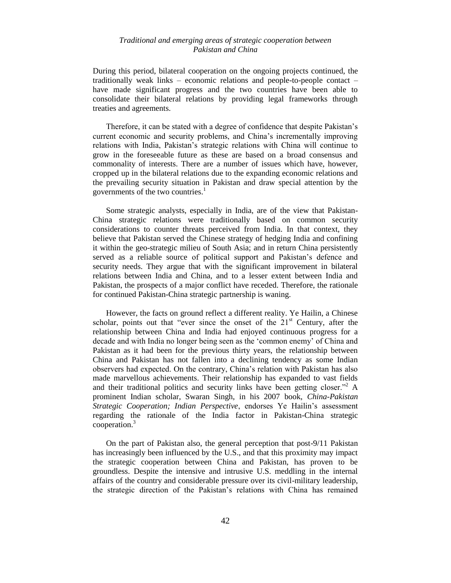During this period, bilateral cooperation on the ongoing projects continued, the traditionally weak links – economic relations and people-to-people contact – have made significant progress and the two countries have been able to consolidate their bilateral relations by providing legal frameworks through treaties and agreements.

Therefore, it can be stated with a degree of confidence that despite Pakistan"s current economic and security problems, and China"s incrementally improving relations with India, Pakistan"s strategic relations with China will continue to grow in the foreseeable future as these are based on a broad consensus and commonality of interests. There are a number of issues which have, however, cropped up in the bilateral relations due to the expanding economic relations and the prevailing security situation in Pakistan and draw special attention by the governments of the two countries.<sup>1</sup>

Some strategic analysts, especially in India, are of the view that Pakistan-China strategic relations were traditionally based on common security considerations to counter threats perceived from India. In that context, they believe that Pakistan served the Chinese strategy of hedging India and confining it within the geo-strategic milieu of South Asia; and in return China persistently served as a reliable source of political support and Pakistan's defence and security needs. They argue that with the significant improvement in bilateral relations between India and China, and to a lesser extent between India and Pakistan, the prospects of a major conflict have receded. Therefore, the rationale for continued Pakistan-China strategic partnership is waning.

However, the facts on ground reflect a different reality. Ye Hailin, a Chinese scholar, points out that "ever since the onset of the  $21<sup>st</sup>$  Century, after the relationship between China and India had enjoyed continuous progress for a decade and with India no longer being seen as the "common enemy" of China and Pakistan as it had been for the previous thirty years, the relationship between China and Pakistan has not fallen into a declining tendency as some Indian observers had expected. On the contrary, China"s relation with Pakistan has also made marvellous achievements. Their relationship has expanded to vast fields and their traditional politics and security links have been getting closer.<sup>32</sup> A prominent Indian scholar, Swaran Singh, in his 2007 book, *China-Pakistan Strategic Cooperation; Indian Perspective*, endorses Ye Hailin"s assessment regarding the rationale of the India factor in Pakistan-China strategic cooperation.<sup>3</sup>

On the part of Pakistan also, the general perception that post-9/11 Pakistan has increasingly been influenced by the U.S., and that this proximity may impact the strategic cooperation between China and Pakistan, has proven to be groundless. Despite the intensive and intrusive U.S. meddling in the internal affairs of the country and considerable pressure over its civil-military leadership, the strategic direction of the Pakistan"s relations with China has remained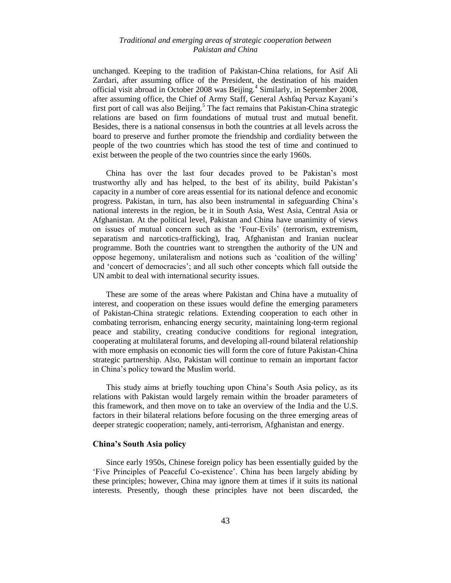unchanged. Keeping to the tradition of Pakistan-China relations, for Asif Ali Zardari, after assuming office of the President, the destination of his maiden official visit abroad in October 2008 was Beijing.<sup>4</sup> Similarly, in September 2008, after assuming office, the Chief of Army Staff, General Ashfaq Pervaz Kayani"s first port of call was also Beijing.<sup>5</sup> The fact remains that Pakistan-China strategic relations are based on firm foundations of mutual trust and mutual benefit. Besides, there is a national consensus in both the countries at all levels across the board to preserve and further promote the friendship and cordiality between the people of the two countries which has stood the test of time and continued to exist between the people of the two countries since the early 1960s.

China has over the last four decades proved to be Pakistan"s most trustworthy ally and has helped, to the best of its ability, build Pakistan"s capacity in a number of core areas essential for its national defence and economic progress. Pakistan, in turn, has also been instrumental in safeguarding China"s national interests in the region, be it in South Asia, West Asia, Central Asia or Afghanistan. At the political level, Pakistan and China have unanimity of views on issues of mutual concern such as the "Four-Evils" (terrorism, extremism, separatism and narcotics-trafficking), Iraq, Afghanistan and Iranian nuclear programme. Both the countries want to strengthen the authority of the UN and oppose hegemony, unilateralism and notions such as "coalition of the willing" and "concert of democracies"; and all such other concepts which fall outside the UN ambit to deal with international security issues.

These are some of the areas where Pakistan and China have a mutuality of interest, and cooperation on these issues would define the emerging parameters of Pakistan-China strategic relations. Extending cooperation to each other in combating terrorism, enhancing energy security, maintaining long-term regional peace and stability, creating conducive conditions for regional integration, cooperating at multilateral forums, and developing all-round bilateral relationship with more emphasis on economic ties will form the core of future Pakistan-China strategic partnership. Also, Pakistan will continue to remain an important factor in China"s policy toward the Muslim world.

This study aims at briefly touching upon China"s South Asia policy, as its relations with Pakistan would largely remain within the broader parameters of this framework, and then move on to take an overview of the India and the U.S. factors in their bilateral relations before focusing on the three emerging areas of deeper strategic cooperation; namely, anti-terrorism, Afghanistan and energy.

#### **China's South Asia policy**

Since early 1950s, Chinese foreign policy has been essentially guided by the "Five Principles of Peaceful Co-existence". China has been largely abiding by these principles; however, China may ignore them at times if it suits its national interests. Presently, though these principles have not been discarded, the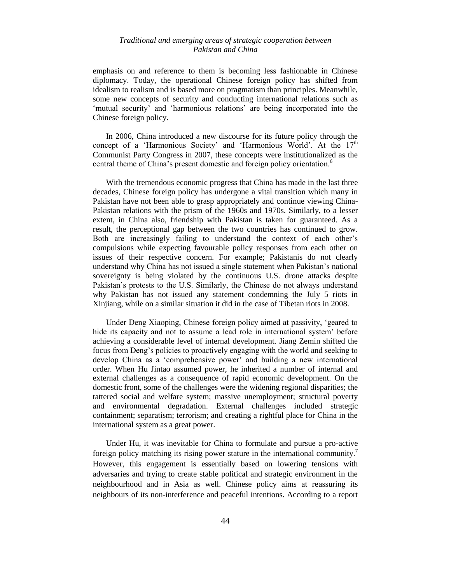emphasis on and reference to them is becoming less fashionable in Chinese diplomacy. Today, the operational Chinese foreign policy has shifted from idealism to realism and is based more on pragmatism than principles. Meanwhile, some new concepts of security and conducting international relations such as 'mutual security' and 'harmonious relations' are being incorporated into the Chinese foreign policy.

In 2006, China introduced a new discourse for its future policy through the concept of a 'Harmonious Society' and 'Harmonious World'. At the  $17<sup>th</sup>$ Communist Party Congress in 2007, these concepts were institutionalized as the central theme of China's present domestic and foreign policy orientation.<sup>6</sup>

With the tremendous economic progress that China has made in the last three decades, Chinese foreign policy has undergone a vital transition which many in Pakistan have not been able to grasp appropriately and continue viewing China-Pakistan relations with the prism of the 1960s and 1970s. Similarly, to a lesser extent, in China also, friendship with Pakistan is taken for guaranteed. As a result, the perceptional gap between the two countries has continued to grow. Both are increasingly failing to understand the context of each other"s compulsions while expecting favourable policy responses from each other on issues of their respective concern. For example; Pakistanis do not clearly understand why China has not issued a single statement when Pakistan"s national sovereignty is being violated by the continuous U.S. drone attacks despite Pakistan"s protests to the U.S. Similarly, the Chinese do not always understand why Pakistan has not issued any statement condemning the July 5 riots in Xinjiang, while on a similar situation it did in the case of Tibetan riots in 2008.

Under Deng Xiaoping, Chinese foreign policy aimed at passivity, "geared to hide its capacity and not to assume a lead role in international system' before achieving a considerable level of internal development. Jiang Zemin shifted the focus from Deng"s policies to proactively engaging with the world and seeking to develop China as a "comprehensive power" and building a new international order. When Hu Jintao assumed power, he inherited a number of internal and external challenges as a consequence of rapid economic development. On the domestic front, some of the challenges were the widening regional disparities; the tattered social and welfare system; massive unemployment; structural poverty and environmental degradation. External challenges included strategic containment; separatism; terrorism; and creating a rightful place for China in the international system as a great power.

Under Hu, it was inevitable for China to formulate and pursue a pro-active foreign policy matching its rising power stature in the international community.<sup>7</sup> However, this engagement is essentially based on lowering tensions with adversaries and trying to create stable political and strategic environment in the neighbourhood and in Asia as well. Chinese policy aims at reassuring its neighbours of its non-interference and peaceful intentions. According to a report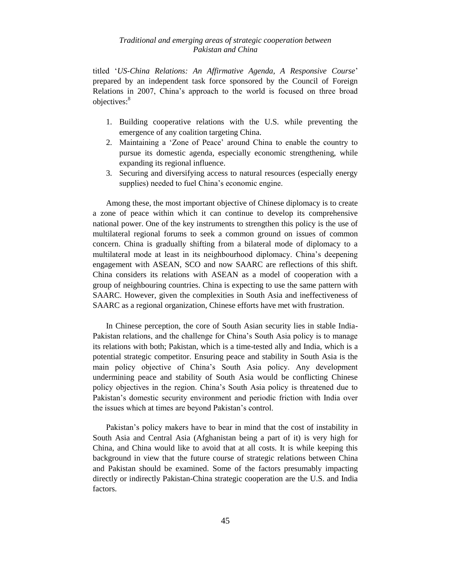titled "*US-China Relations: An Affirmative Agenda, A Responsive Course*" prepared by an independent task force sponsored by the Council of Foreign Relations in 2007, China"s approach to the world is focused on three broad objectives:<sup>8</sup>

- 1. Building cooperative relations with the U.S. while preventing the emergence of any coalition targeting China.
- 2. Maintaining a "Zone of Peace" around China to enable the country to pursue its domestic agenda, especially economic strengthening, while expanding its regional influence.
- 3. Securing and diversifying access to natural resources (especially energy supplies) needed to fuel China's economic engine.

Among these, the most important objective of Chinese diplomacy is to create a zone of peace within which it can continue to develop its comprehensive national power. One of the key instruments to strengthen this policy is the use of multilateral regional forums to seek a common ground on issues of common concern. China is gradually shifting from a bilateral mode of diplomacy to a multilateral mode at least in its neighbourhood diplomacy. China"s deepening engagement with ASEAN, SCO and now SAARC are reflections of this shift. China considers its relations with ASEAN as a model of cooperation with a group of neighbouring countries. China is expecting to use the same pattern with SAARC. However, given the complexities in South Asia and ineffectiveness of SAARC as a regional organization, Chinese efforts have met with frustration.

In Chinese perception, the core of South Asian security lies in stable India-Pakistan relations, and the challenge for China's South Asia policy is to manage its relations with both; Pakistan, which is a time-tested ally and India, which is a potential strategic competitor. Ensuring peace and stability in South Asia is the main policy objective of China"s South Asia policy. Any development undermining peace and stability of South Asia would be conflicting Chinese policy objectives in the region. China"s South Asia policy is threatened due to Pakistan's domestic security environment and periodic friction with India over the issues which at times are beyond Pakistan"s control.

Pakistan"s policy makers have to bear in mind that the cost of instability in South Asia and Central Asia (Afghanistan being a part of it) is very high for China, and China would like to avoid that at all costs. It is while keeping this background in view that the future course of strategic relations between China and Pakistan should be examined. Some of the factors presumably impacting directly or indirectly Pakistan-China strategic cooperation are the U.S. and India factors.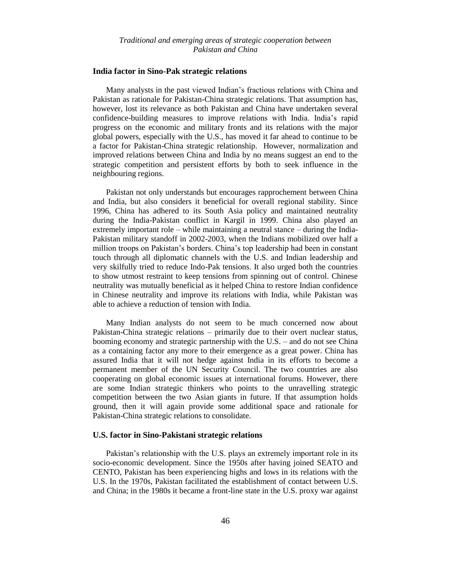#### **India factor in Sino-Pak strategic relations**

Many analysts in the past viewed Indian"s fractious relations with China and Pakistan as rationale for Pakistan-China strategic relations. That assumption has, however, lost its relevance as both Pakistan and China have undertaken several confidence-building measures to improve relations with India. India"s rapid progress on the economic and military fronts and its relations with the major global powers, especially with the U.S., has moved it far ahead to continue to be a factor for Pakistan-China strategic relationship. However, normalization and improved relations between China and India by no means suggest an end to the strategic competition and persistent efforts by both to seek influence in the neighbouring regions.

Pakistan not only understands but encourages rapprochement between China and India, but also considers it beneficial for overall regional stability. Since 1996, China has adhered to its South Asia policy and maintained neutrality during the India-Pakistan conflict in Kargil in 1999. China also played an extremely important role – while maintaining a neutral stance – during the India-Pakistan military standoff in 2002-2003, when the Indians mobilized over half a million troops on Pakistan"s borders. China"s top leadership had been in constant touch through all diplomatic channels with the U.S. and Indian leadership and very skilfully tried to reduce Indo-Pak tensions. It also urged both the countries to show utmost restraint to keep tensions from spinning out of control. Chinese neutrality was mutually beneficial as it helped China to restore Indian confidence in Chinese neutrality and improve its relations with India, while Pakistan was able to achieve a reduction of tension with India.

Many Indian analysts do not seem to be much concerned now about Pakistan-China strategic relations – primarily due to their overt nuclear status, booming economy and strategic partnership with the U.S. – and do not see China as a containing factor any more to their emergence as a great power. China has assured India that it will not hedge against India in its efforts to become a permanent member of the UN Security Council. The two countries are also cooperating on global economic issues at international forums. However, there are some Indian strategic thinkers who points to the unravelling strategic competition between the two Asian giants in future. If that assumption holds ground, then it will again provide some additional space and rationale for Pakistan-China strategic relations to consolidate.

#### **U.S. factor in Sino-Pakistani strategic relations**

Pakistan's relationship with the U.S. plays an extremely important role in its socio-economic development. Since the 1950s after having joined SEATO and CENTO, Pakistan has been experiencing highs and lows in its relations with the U.S. In the 1970s, Pakistan facilitated the establishment of contact between U.S. and China; in the 1980s it became a front-line state in the U.S. proxy war against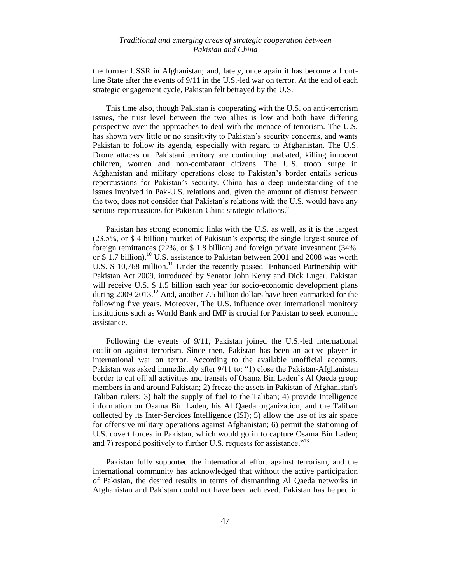the former USSR in Afghanistan; and, lately, once again it has become a frontline State after the events of 9/11 in the U.S.-led war on terror. At the end of each strategic engagement cycle, Pakistan felt betrayed by the U.S.

This time also, though Pakistan is cooperating with the U.S. on anti-terrorism issues, the trust level between the two allies is low and both have differing perspective over the approaches to deal with the menace of terrorism. The U.S. has shown very little or no sensitivity to Pakistan's security concerns, and wants Pakistan to follow its agenda, especially with regard to Afghanistan. The U.S. Drone attacks on Pakistani territory are continuing unabated, killing innocent children, women and non-combatant citizens. The U.S. troop surge in Afghanistan and military operations close to Pakistan"s border entails serious repercussions for Pakistan"s security. China has a deep understanding of the issues involved in Pak-U.S. relations and, given the amount of distrust between the two, does not consider that Pakistan"s relations with the U.S. would have any serious repercussions for Pakistan-China strategic relations.<sup>9</sup>

Pakistan has strong economic links with the U.S. as well, as it is the largest (23.5%, or \$4 billion) market of Pakistan's exports; the single largest source of foreign remittances (22%, or \$ 1.8 billion) and foreign private investment (34%, or  $$$  1.7 billion).<sup>10</sup> U.S. assistance to Pakistan between 2001 and 2008 was worth U.S. \$ 10,768 million.<sup>11</sup> Under the recently passed 'Enhanced Partnership with Pakistan Act 2009, introduced by Senator John Kerry and Dick Lugar, Pakistan will receive U.S. \$1.5 billion each year for socio-economic development plans during  $2009-2013$ <sup>12</sup> And, another 7.5 billion dollars have been earmarked for the following five years. Moreover, The U.S. influence over international monitory institutions such as World Bank and IMF is crucial for Pakistan to seek economic assistance.

Following the events of 9/11, Pakistan joined the U.S.-led international coalition against terrorism. Since then, Pakistan has been an active player in international war on terror. According to the available unofficial accounts, Pakistan was asked immediately after 9/11 to: "1) close the Pakistan-Afghanistan border to cut off all activities and transits of Osama Bin Laden"s Al Qaeda group members in and around Pakistan; 2) freeze the assets in Pakistan of Afghanistan's Taliban rulers; 3) halt the supply of fuel to the Taliban; 4) provide Intelligence information on Osama Bin Laden, his Al Qaeda organization, and the Taliban collected by its Inter-Services Intelligence (ISI); 5) allow the use of its air space for offensive military operations against Afghanistan; 6) permit the stationing of U.S. covert forces in Pakistan, which would go in to capture Osama Bin Laden; and 7) respond positively to further U.S. requests for assistance."<sup>13</sup>

Pakistan fully supported the international effort against terrorism, and the international community has acknowledged that without the active participation of Pakistan, the desired results in terms of dismantling Al Qaeda networks in Afghanistan and Pakistan could not have been achieved. Pakistan has helped in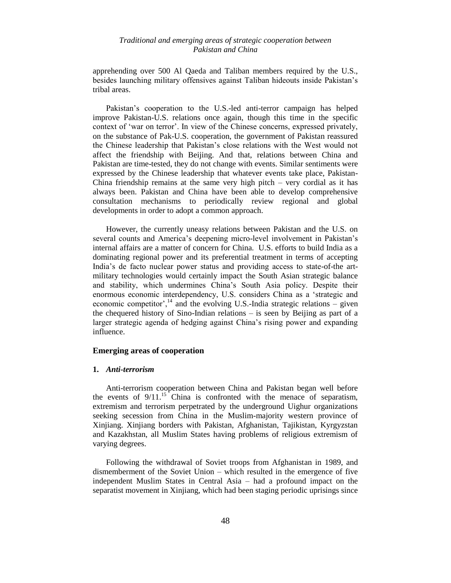apprehending over 500 Al Qaeda and Taliban members required by the U.S., besides launching military offensives against Taliban hideouts inside Pakistan"s tribal areas.

Pakistan"s cooperation to the U.S.-led anti-terror campaign has helped improve Pakistan-U.S. relations once again, though this time in the specific context of "war on terror". In view of the Chinese concerns, expressed privately, on the substance of Pak-U.S. cooperation, the government of Pakistan reassured the Chinese leadership that Pakistan"s close relations with the West would not affect the friendship with Beijing. And that, relations between China and Pakistan are time-tested, they do not change with events. Similar sentiments were expressed by the Chinese leadership that whatever events take place, Pakistan-China friendship remains at the same very high pitch  $-$  very cordial as it has always been. Pakistan and China have been able to develop comprehensive consultation mechanisms to periodically review regional and global developments in order to adopt a common approach.

However, the currently uneasy relations between Pakistan and the U.S. on several counts and America"s deepening micro-level involvement in Pakistan"s internal affairs are a matter of concern for China. U.S. efforts to build India as a dominating regional power and its preferential treatment in terms of accepting India"s de facto nuclear power status and providing access to state-of-the artmilitary technologies would certainly impact the South Asian strategic balance and stability, which undermines China"s South Asia policy. Despite their enormous economic interdependency, U.S. considers China as a "strategic and economic competitor',<sup>14</sup> and the evolving U.S.-India strategic relations – given the chequered history of Sino-Indian relations – is seen by Beijing as part of a larger strategic agenda of hedging against China"s rising power and expanding influence.

#### **Emerging areas of cooperation**

#### **1.** *Anti-terrorism*

Anti-terrorism cooperation between China and Pakistan began well before the events of  $9/11$ <sup>15</sup>. China is confronted with the menace of separatism, extremism and terrorism perpetrated by the underground Uighur organizations seeking secession from China in the Muslim-majority western province of Xinjiang. Xinjiang borders with Pakistan, Afghanistan, Tajikistan, Kyrgyzstan and Kazakhstan, all Muslim States having problems of religious extremism of varying degrees.

Following the withdrawal of Soviet troops from Afghanistan in 1989, and dismemberment of the Soviet Union – which resulted in the emergence of five independent Muslim States in Central Asia – had a profound impact on the separatist movement in Xinjiang, which had been staging periodic uprisings since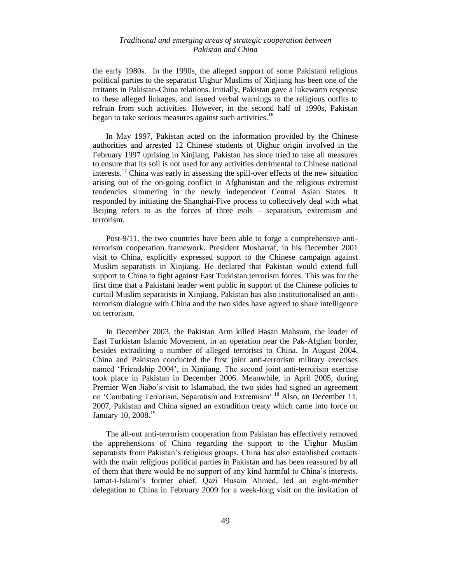the early 1980s. In the 1990s, the alleged support of some Pakistani religious political parties to the separatist Uighur Muslims of Xinjiang has been one of the irritants in Pakistan-China relations. Initially, Pakistan gave a lukewarm response to these alleged linkages, and issued verbal warnings to the religious outfits to refrain from such activities. However, in the second half of 1990s, Pakistan began to take serious measures against such activities.<sup>16</sup>

In May 1997, Pakistan acted on the information provided by the Chinese authorities and arrested 12 Chinese students of Uighur origin involved in the February 1997 uprising in Xinjiang. Pakistan has since tried to take all measures to ensure that its soil is not used for any activities detrimental to Chinese national interests.<sup>17</sup> China was early in assessing the spill-over effects of the new situation arising out of the on-going conflict in Afghanistan and the religious extremist tendencies simmering in the newly independent Central Asian States. It responded by initiating the Shanghai-Five process to collectively deal with what Beijing refers to as the forces of three evils – separatism, extremism and terrorism.

Post-9/11, the two countries have been able to forge a comprehensive antiterrorism cooperation framework. President Musharraf, in his December 2001 visit to China, explicitly expressed support to the Chinese campaign against Muslim separatists in Xinjiang. He declared that Pakistan would extend full support to China to fight against East Turkistan terrorism forces. This was for the first time that a Pakistani leader went public in support of the Chinese policies to curtail Muslim separatists in Xinjiang. Pakistan has also institutionalised an antiterrorism dialogue with China and the two sides have agreed to share intelligence on terrorism.

In December 2003, the Pakistan Arm killed Hasan Mahsum, the leader of East Turkistan Islamic Movement, in an operation near the Pak-Afghan border, besides extraditing a number of alleged terrorists to China. In August 2004, China and Pakistan conducted the first joint anti-terrorism military exercises named "Friendship 2004", in Xinjiang. The second joint anti-terrorism exercise took place in Pakistan in December 2006. Meanwhile, in April 2005, during Premier Wen Jiabo"s visit to Islamabad, the two sides had signed an agreement on 'Combating Terrorism, Separatism and Extremism'.<sup>18</sup> Also, on December 11, 2007, Pakistan and China signed an extradition treaty which came into force on January 10, 2008.<sup>19</sup>

The all-out anti-terrorism cooperation from Pakistan has effectively removed the apprehensions of China regarding the support to the Uighur Muslim separatists from Pakistan"s religious groups. China has also established contacts with the main religious political parties in Pakistan and has been reassured by all of them that there would be no support of any kind harmful to China"s interests. Jamat-i-Islami"s former chief, Qazi Husain Ahmed, led an eight-member delegation to China in February 2009 for a week-long visit on the invitation of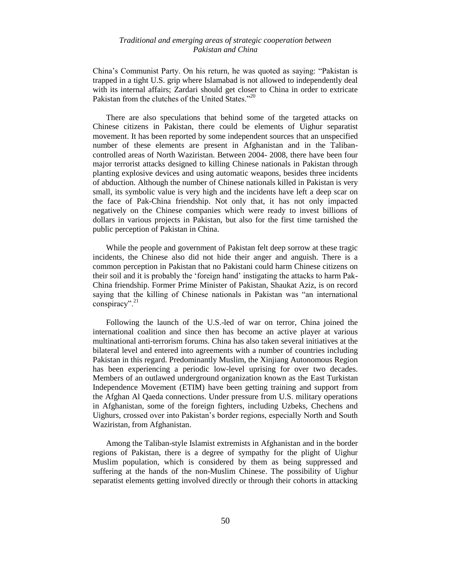China"s Communist Party. On his return, he was quoted as saying: "Pakistan is trapped in a tight U.S. grip where Islamabad is not allowed to independently deal with its internal affairs; Zardari should get closer to China in order to extricate Pakistan from the clutches of the United States."<sup>20</sup>

There are also speculations that behind some of the targeted attacks on Chinese citizens in Pakistan, there could be elements of Uighur separatist movement. It has been reported by some independent sources that an unspecified number of these elements are present in Afghanistan and in the Talibancontrolled areas of North Waziristan. Between 2004- 2008, there have been four major terrorist attacks designed to killing Chinese nationals in Pakistan through planting explosive devices and using automatic weapons, besides three incidents of abduction. Although the number of Chinese nationals killed in Pakistan is very small, its symbolic value is very high and the incidents have left a deep scar on the face of Pak-China friendship. Not only that, it has not only impacted negatively on the Chinese companies which were ready to invest billions of dollars in various projects in Pakistan, but also for the first time tarnished the public perception of Pakistan in China.

While the people and government of Pakistan felt deep sorrow at these tragic incidents, the Chinese also did not hide their anger and anguish. There is a common perception in Pakistan that no Pakistani could harm Chinese citizens on their soil and it is probably the "foreign hand" instigating the attacks to harm Pak-China friendship. Former Prime Minister of Pakistan, Shaukat Aziz, is on record saying that the killing of Chinese nationals in Pakistan was "an international conspiracy".<sup>21</sup>

Following the launch of the U.S.-led of war on terror, China joined the international coalition and since then has become an active player at various multinational anti-terrorism forums. China has also taken several initiatives at the bilateral level and entered into agreements with a number of countries including Pakistan in this regard. Predominantly Muslim, the Xinjiang Autonomous Region has been experiencing a periodic low-level uprising for over two decades. Members of an outlawed underground organization known as the East Turkistan Independence Movement (ETIM) have been getting training and support from the Afghan Al Qaeda connections. Under pressure from U.S. military operations in Afghanistan, some of the foreign fighters, including Uzbeks, Chechens and Uighurs, crossed over into Pakistan"s border regions, especially North and South Waziristan, from Afghanistan.

Among the Taliban-style Islamist extremists in Afghanistan and in the border regions of Pakistan, there is a degree of sympathy for the plight of Uighur Muslim population, which is considered by them as being suppressed and suffering at the hands of the non-Muslim Chinese. The possibility of Uighur separatist elements getting involved directly or through their cohorts in attacking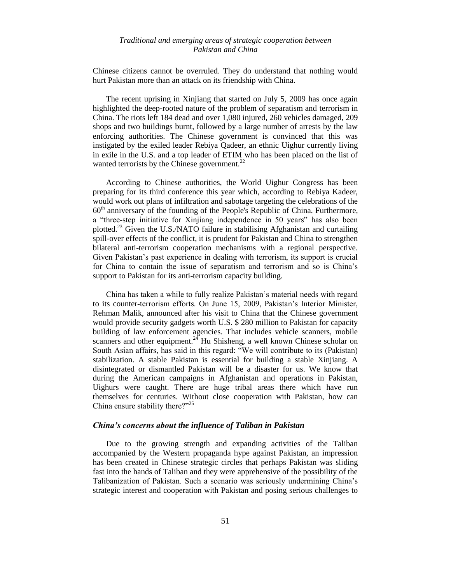Chinese citizens cannot be overruled. They do understand that nothing would hurt Pakistan more than an attack on its friendship with China.

The recent uprising in Xinjiang that started on July 5, 2009 has once again highlighted the deep-rooted nature of the problem of separatism and terrorism in China. The riots left 184 dead and over 1,080 injured, 260 vehicles damaged, 209 shops and two buildings burnt, followed by a large number of arrests by the law enforcing authorities. The Chinese government is convinced that this was instigated by the exiled leader Rebiya Qadeer, an ethnic Uighur currently living in exile in the U.S. and a top leader of ETIM who has been placed on the list of wanted terrorists by the Chinese government. $^{22}$ 

According to Chinese authorities, the World Uighur Congress has been preparing for its third conference this year which, according to Rebiya Kadeer, would work out plans of infiltration and sabotage targeting the celebrations of the  $60<sup>th</sup>$  anniversary of the founding of the People's Republic of China. Furthermore, a "three-step initiative for Xinjiang independence in 50 years" has also been plotted.<sup>23</sup> Given the U.S./NATO failure in stabilising Afghanistan and curtailing spill-over effects of the conflict, it is prudent for Pakistan and China to strengthen bilateral anti-terrorism cooperation mechanisms with a regional perspective. Given Pakistan"s past experience in dealing with terrorism, its support is crucial for China to contain the issue of separatism and terrorism and so is China"s support to Pakistan for its anti-terrorism capacity building.

China has taken a while to fully realize Pakistan"s material needs with regard to its counter-terrorism efforts. On June 15, 2009, Pakistan"s Interior Minister, Rehman Malik, announced after his visit to China that the Chinese government would provide security gadgets worth U.S. \$ 280 million to Pakistan for capacity building of law enforcement agencies. That includes vehicle scanners, mobile scanners and other equipment.<sup>24</sup> Hu Shisheng, a well known Chinese scholar on South Asian affairs, has said in this regard: "We will contribute to its (Pakistan) stabilization. A stable Pakistan is essential for building a stable Xinjiang. A disintegrated or dismantled Pakistan will be a disaster for us. We know that during the American campaigns in Afghanistan and operations in Pakistan, Uighurs were caught. There are huge tribal areas there which have run themselves for centuries. Without close cooperation with Pakistan, how can China ensure stability there?"<sup>25</sup>

# *China's concerns about the influence of Taliban in Pakistan*

Due to the growing strength and expanding activities of the Taliban accompanied by the Western propaganda hype against Pakistan, an impression has been created in Chinese strategic circles that perhaps Pakistan was sliding fast into the hands of Taliban and they were apprehensive of the possibility of the Talibanization of Pakistan. Such a scenario was seriously undermining China"s strategic interest and cooperation with Pakistan and posing serious challenges to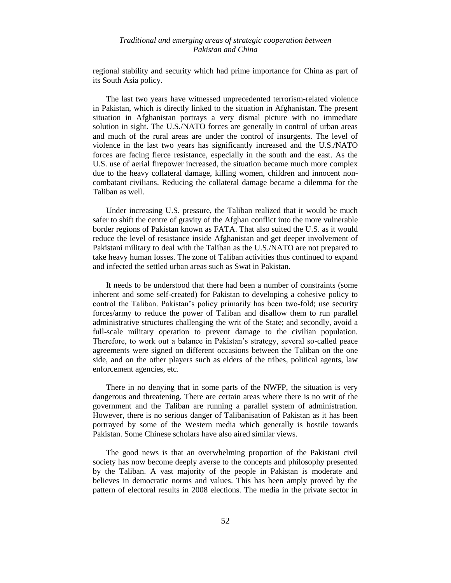regional stability and security which had prime importance for China as part of its South Asia policy.

The last two years have witnessed unprecedented terrorism-related violence in Pakistan, which is directly linked to the situation in Afghanistan. The present situation in Afghanistan portrays a very dismal picture with no immediate solution in sight. The U.S./NATO forces are generally in control of urban areas and much of the rural areas are under the control of insurgents. The level of violence in the last two years has significantly increased and the U.S./NATO forces are facing fierce resistance, especially in the south and the east. As the U.S. use of aerial firepower increased, the situation became much more complex due to the heavy collateral damage, killing women, children and innocent noncombatant civilians. Reducing the collateral damage became a dilemma for the Taliban as well.

Under increasing U.S. pressure, the Taliban realized that it would be much safer to shift the centre of gravity of the Afghan conflict into the more vulnerable border regions of Pakistan known as FATA. That also suited the U.S. as it would reduce the level of resistance inside Afghanistan and get deeper involvement of Pakistani military to deal with the Taliban as the U.S./NATO are not prepared to take heavy human losses. The zone of Taliban activities thus continued to expand and infected the settled urban areas such as Swat in Pakistan.

It needs to be understood that there had been a number of constraints (some inherent and some self-created) for Pakistan to developing a cohesive policy to control the Taliban. Pakistan's policy primarily has been two-fold; use security forces/army to reduce the power of Taliban and disallow them to run parallel administrative structures challenging the writ of the State; and secondly, avoid a full-scale military operation to prevent damage to the civilian population. Therefore, to work out a balance in Pakistan"s strategy, several so-called peace agreements were signed on different occasions between the Taliban on the one side, and on the other players such as elders of the tribes, political agents, law enforcement agencies, etc.

There in no denying that in some parts of the NWFP, the situation is very dangerous and threatening. There are certain areas where there is no writ of the government and the Taliban are running a parallel system of administration. However, there is no serious danger of Talibanisation of Pakistan as it has been portrayed by some of the Western media which generally is hostile towards Pakistan. Some Chinese scholars have also aired similar views.

The good news is that an overwhelming proportion of the Pakistani civil society has now become deeply averse to the concepts and philosophy presented by the Taliban. A vast majority of the people in Pakistan is moderate and believes in democratic norms and values. This has been amply proved by the pattern of electoral results in 2008 elections. The media in the private sector in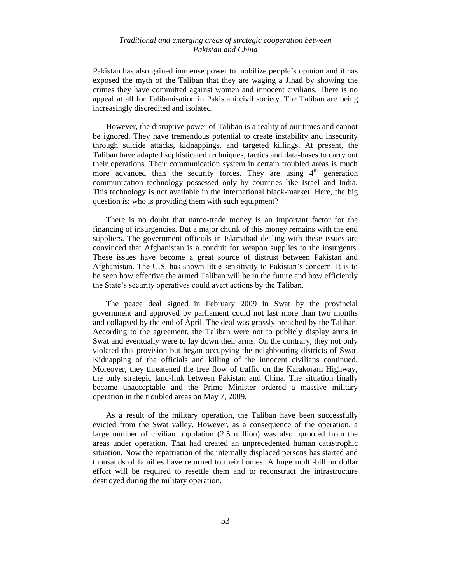Pakistan has also gained immense power to mobilize people"s opinion and it has exposed the myth of the Taliban that they are waging a Jihad by showing the crimes they have committed against women and innocent civilians. There is no appeal at all for Talibanisation in Pakistani civil society. The Taliban are being increasingly discredited and isolated.

However, the disruptive power of Taliban is a reality of our times and cannot be ignored. They have tremendous potential to create instability and insecurity through suicide attacks, kidnappings, and targeted killings. At present, the Taliban have adapted sophisticated techniques, tactics and data-bases to carry out their operations. Their communication system in certain troubled areas is much more advanced than the security forces. They are using  $4<sup>th</sup>$  generation communication technology possessed only by countries like Israel and India. This technology is not available in the international black-market. Here, the big question is: who is providing them with such equipment?

There is no doubt that narco-trade money is an important factor for the financing of insurgencies. But a major chunk of this money remains with the end suppliers. The government officials in Islamabad dealing with these issues are convinced that Afghanistan is a conduit for weapon supplies to the insurgents. These issues have become a great source of distrust between Pakistan and Afghanistan. The U.S. has shown little sensitivity to Pakistan"s concern. It is to be seen how effective the armed Taliban will be in the future and how efficiently the State"s security operatives could avert actions by the Taliban.

The peace deal signed in February 2009 in Swat by the provincial government and approved by parliament could not last more than two months and collapsed by the end of April. The deal was grossly breached by the Taliban. According to the agreement, the Taliban were not to publicly display arms in Swat and eventually were to lay down their arms. On the contrary, they not only violated this provision but began occupying the neighbouring districts of Swat. Kidnapping of the officials and killing of the innocent civilians continued. Moreover, they threatened the free flow of traffic on the Karakoram Highway, the only strategic land-link between Pakistan and China. The situation finally became unacceptable and the Prime Minister ordered a massive military operation in the troubled areas on May 7, 2009.

As a result of the military operation, the Taliban have been successfully evicted from the Swat valley. However, as a consequence of the operation, a large number of civilian population (2.5 million) was also uprooted from the areas under operation. That had created an unprecedented human catastrophic situation. Now the repatriation of the internally displaced persons has started and thousands of families have returned to their homes. A huge multi-billion dollar effort will be required to resettle them and to reconstruct the infrastructure destroyed during the military operation.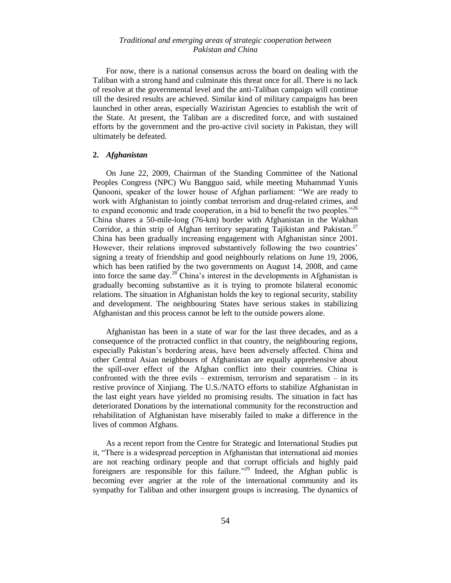For now, there is a national consensus across the board on dealing with the Taliban with a strong hand and culminate this threat once for all. There is no lack of resolve at the governmental level and the anti-Taliban campaign will continue till the desired results are achieved. Similar kind of military campaigns has been launched in other areas, especially Waziristan Agencies to establish the writ of the State. At present, the Taliban are a discredited force, and with sustained efforts by the government and the pro-active civil society in Pakistan, they will ultimately be defeated.

#### **2.** *Afghanistan*

On June 22, 2009, Chairman of the Standing Committee of the National Peoples Congress (NPC) Wu Bangguo said, while meeting Muhammad Yunis Qanooni, speaker of the lower house of Afghan parliament: "We are ready to work with Afghanistan to jointly combat terrorism and drug-related crimes, and to expand economic and trade cooperation, in a bid to benefit the two peoples.<sup> $26$ </sup> China shares a 50-mile-long (76-km) border with Afghanistan in the Wakhan Corridor, a thin strip of Afghan territory separating Tajikistan and Pakistan.<sup>27</sup> China has been gradually increasing engagement with Afghanistan since 2001. However, their relations improved substantively following the two countries' signing a treaty of friendship and good neighbourly relations on June 19, 2006, which has been ratified by the two governments on August 14, 2008, and came into force the same day.<sup>28</sup> China's interest in the developments in Afghanistan is gradually becoming substantive as it is trying to promote bilateral economic relations. The situation in Afghanistan holds the key to regional security, stability and development. The neighbouring States have serious stakes in stabilizing Afghanistan and this process cannot be left to the outside powers alone.

Afghanistan has been in a state of war for the last three decades, and as a consequence of the protracted conflict in that country, the neighbouring regions, especially Pakistan"s bordering areas, have been adversely affected. China and other Central Asian neighbours of Afghanistan are equally apprehensive about the spill-over effect of the Afghan conflict into their countries. China is confronted with the three evils – extremism, terrorism and separatism – in its restive province of Xinjiang. The U.S./NATO efforts to stabilize Afghanistan in the last eight years have yielded no promising results. The situation in fact has deteriorated Donations by the international community for the reconstruction and rehabilitation of Afghanistan have miserably failed to make a difference in the lives of common Afghans.

As a recent report from the Centre for Strategic and International Studies put it, "There is a widespread perception in Afghanistan that international aid monies are not reaching ordinary people and that corrupt officials and highly paid foreigners are responsible for this failure*.*" <sup>29</sup> Indeed, the Afghan public is becoming ever angrier at the role of the international community and its sympathy for Taliban and other insurgent groups is increasing. The dynamics of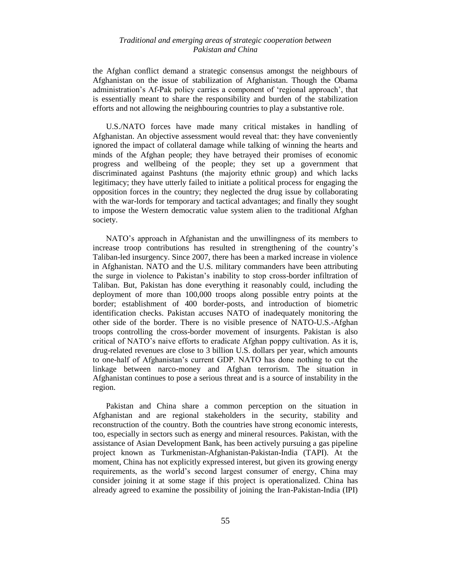the Afghan conflict demand a strategic consensus amongst the neighbours of Afghanistan on the issue of stabilization of Afghanistan. Though the Obama administration"s Af-Pak policy carries a component of "regional approach", that is essentially meant to share the responsibility and burden of the stabilization efforts and not allowing the neighbouring countries to play a substantive role.

U.S./NATO forces have made many critical mistakes in handling of Afghanistan. An objective assessment would reveal that: they have conveniently ignored the impact of collateral damage while talking of winning the hearts and minds of the Afghan people; they have betrayed their promises of economic progress and wellbeing of the people; they set up a government that discriminated against Pashtuns (the majority ethnic group) and which lacks legitimacy; they have utterly failed to initiate a political process for engaging the opposition forces in the country; they neglected the drug issue by collaborating with the war-lords for temporary and tactical advantages; and finally they sought to impose the Western democratic value system alien to the traditional Afghan society.

NATO"s approach in Afghanistan and the unwillingness of its members to increase troop contributions has resulted in strengthening of the country"s Taliban-led insurgency. Since 2007, there has been a marked increase in violence in Afghanistan. NATO and the U.S. military commanders have been attributing the surge in violence to Pakistan"s inability to stop cross-border infiltration of Taliban. But, Pakistan has done everything it reasonably could, including the deployment of more than 100,000 troops along possible entry points at the border; establishment of 400 border-posts, and introduction of biometric identification checks. Pakistan accuses NATO of inadequately monitoring the other side of the border. There is no visible presence of NATO-U.S.-Afghan troops controlling the cross-border movement of insurgents. Pakistan is also critical of NATO"s naive efforts to eradicate Afghan poppy cultivation. As it is, drug-related revenues are close to 3 billion U.S. dollars per year, which amounts to one-half of Afghanistan"s current GDP. NATO has done nothing to cut the linkage between narco-money and Afghan terrorism. The situation in Afghanistan continues to pose a serious threat and is a source of instability in the region.

Pakistan and China share a common perception on the situation in Afghanistan and are regional stakeholders in the security, stability and reconstruction of the country. Both the countries have strong economic interests, too, especially in sectors such as energy and mineral resources. Pakistan, with the assistance of Asian Development Bank, has been actively pursuing a gas pipeline project known as Turkmenistan-Afghanistan-Pakistan-India (TAPI). At the moment, China has not explicitly expressed interest, but given its growing energy requirements, as the world"s second largest consumer of energy, China may consider joining it at some stage if this project is operationalized. China has already agreed to examine the possibility of joining the Iran-Pakistan-India (IPI)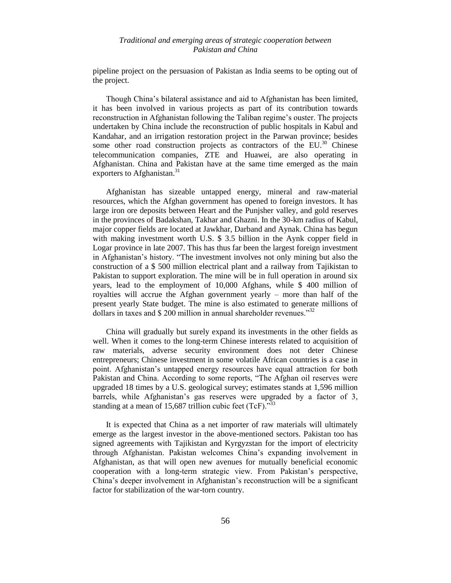pipeline project on the persuasion of Pakistan as India seems to be opting out of the project.

Though China"s bilateral assistance and aid to Afghanistan has been limited, it has been involved in various projects as part of its contribution towards reconstruction in Afghanistan following the Taliban regime's ouster. The projects undertaken by China include the reconstruction of public hospitals in Kabul and Kandahar, and an irrigation restoration project in the Parwan province; besides some other road construction projects as contractors of the  $EU^{30}$  Chinese telecommunication companies, ZTE and Huawei, are also operating in Afghanistan. China and Pakistan have at the same time emerged as the main exporters to Afghanistan.<sup>31</sup>

Afghanistan has sizeable untapped energy, mineral and raw-material resources, which the Afghan government has opened to foreign investors. It has large iron ore deposits between Heart and the Punjsher valley, and gold reserves in the provinces of Badakshan, Takhar and Ghazni. In the 30-km radius of Kabul, major copper fields are located at Jawkhar, Darband and Aynak. China has begun with making investment worth U.S. \$ 3.5 billion in the Aynk copper field in Logar province in late 2007. This has thus far been the largest foreign investment in Afghanistan's history. "The investment involves not only mining but also the construction of a \$ 500 million electrical plant and a railway from Tajikistan to Pakistan to support exploration. The mine will be in full operation in around six years, lead to the employment of 10,000 Afghans, while \$ 400 million of royalties will accrue the Afghan government yearly – more than half of the present yearly State budget. The mine is also estimated to generate millions of dollars in taxes and  $\frac{1}{200}$  million in annual shareholder revenues.<sup>332</sup>

China will gradually but surely expand its investments in the other fields as well. When it comes to the long-term Chinese interests related to acquisition of raw materials, adverse security environment does not deter Chinese entrepreneurs; Chinese investment in some volatile African countries is a case in point. Afghanistan"s untapped energy resources have equal attraction for both Pakistan and China. According to some reports, "The Afghan oil reserves were upgraded 18 times by a U.S. geological survey; estimates stands at 1,596 million barrels, while Afghanistan's gas reserves were upgraded by a factor of 3, standing at a mean of 15,687 trillion cubic feet  $(TcF)$ .<sup>33</sup>

It is expected that China as a net importer of raw materials will ultimately emerge as the largest investor in the above-mentioned sectors. Pakistan too has signed agreements with Tajikistan and Kyrgyzstan for the import of electricity through Afghanistan. Pakistan welcomes China"s expanding involvement in Afghanistan, as that will open new avenues for mutually beneficial economic cooperation with a long-term strategic view. From Pakistan"s perspective, China"s deeper involvement in Afghanistan"s reconstruction will be a significant factor for stabilization of the war-torn country.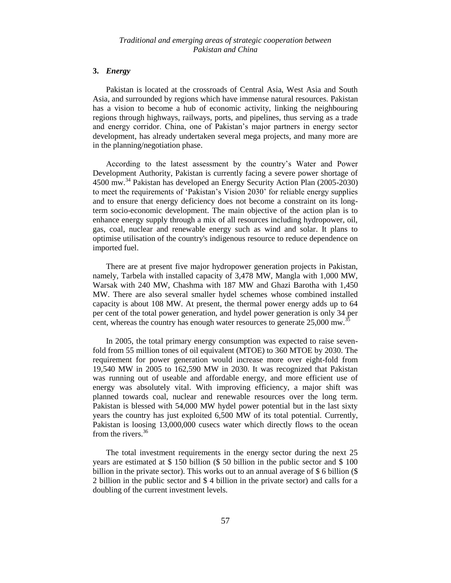#### **3.** *Energy*

Pakistan is located at the crossroads of Central Asia, West Asia and South Asia, and surrounded by regions which have immense natural resources. Pakistan has a vision to become a hub of economic activity, linking the neighbouring regions through highways, railways, ports, and pipelines, thus serving as a trade and energy corridor. China, one of Pakistan"s major partners in energy sector development, has already undertaken several mega projects, and many more are in the planning/negotiation phase.

According to the latest assessment by the country"s Water and Power Development Authority, Pakistan is currently facing a severe power shortage of 4500 mw.<sup>34</sup> Pakistan has developed an Energy Security Action Plan (2005-2030) to meet the requirements of "Pakistan"s Vision 2030" for reliable energy supplies and to ensure that energy deficiency does not become a constraint on its longterm socio-economic development. The main objective of the action plan is to enhance energy supply through a mix of all resources including hydropower, oil, gas, coal, nuclear and renewable energy such as wind and solar. It plans to optimise utilisation of the country's indigenous resource to reduce dependence on imported fuel.

There are at present five major hydropower generation projects in Pakistan, namely, Tarbela with installed capacity of 3,478 MW, Mangla with 1,000 MW, Warsak with 240 MW, Chashma with 187 MW and Ghazi Barotha with 1,450 MW. There are also several smaller hydel schemes whose combined installed capacity is about 108 MW. At present, the thermal power energy adds up to 64 per cent of the total power generation, and hydel power generation is only 34 per cent, whereas the country has enough water resources to generate 25,000 mw.<sup>3</sup>

In 2005, the total primary energy consumption was expected to raise sevenfold from 55 million tones of oil equivalent (MTOE) to 360 MTOE by 2030. The requirement for power generation would increase more over eight-fold from 19,540 MW in 2005 to 162,590 MW in 2030. It was recognized that Pakistan was running out of useable and affordable energy, and more efficient use of energy was absolutely vital. With improving efficiency, a major shift was planned towards coal, nuclear and renewable resources over the long term. Pakistan is blessed with 54,000 MW hydel power potential but in the last sixty years the country has just exploited 6,500 MW of its total potential. Currently, Pakistan is loosing 13,000,000 cusecs water which directly flows to the ocean from the rivers. $36$ 

The total investment requirements in the energy sector during the next 25 years are estimated at \$ 150 billion (\$ 50 billion in the public sector and \$ 100 billion in the private sector). This works out to an annual average of \$ 6 billion (\$ 2 billion in the public sector and \$ 4 billion in the private sector) and calls for a doubling of the current investment levels.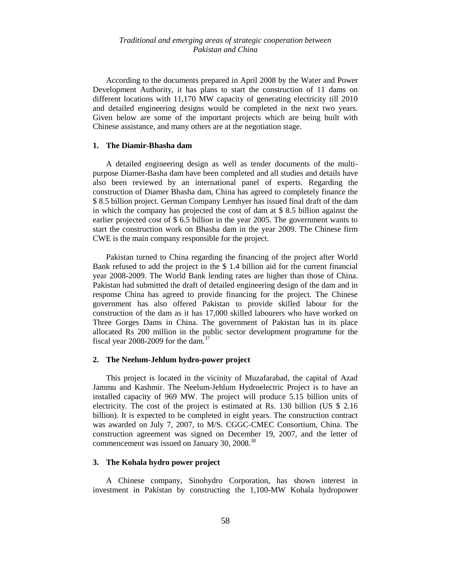According to the documents prepared in April 2008 by the Water and Power Development Authority, it has plans to start the construction of 11 dams on different locations with 11,170 MW capacity of generating electricity till 2010 and detailed engineering designs would be completed in the next two years. Given below are some of the important projects which are being built with Chinese assistance, and many others are at the negotiation stage.

#### **1. The Diamir-Bhasha dam**

A detailed engineering design as well as tender documents of the multipurpose Diamer-Basha dam have been completed and all studies and details have also been reviewed by an international panel of experts. Regarding the construction of Diamer Bhasha dam, China has agreed to completely finance the \$ 8.5 billion project. German Company Lemhyer has issued final draft of the dam in which the company has projected the cost of dam at \$ 8.5 billion against the earlier projected cost of \$ 6.5 billion in the year 2005. The government wants to start the construction work on Bhasha dam in the year 2009. The Chinese firm CWE is the main company responsible for the project.

Pakistan turned to China regarding the financing of the project after World Bank refused to add the project in the \$ 1.4 billion aid for the current financial year 2008-2009. The World Bank lending rates are higher than those of China. Pakistan had submitted the draft of detailed engineering design of the dam and in response China has agreed to provide financing for the project. The Chinese government has also offered Pakistan to provide skilled labour for the construction of the dam as it has 17,000 skilled labourers who have worked on Three Gorges Dams in China. The government of Pakistan has in its place allocated Rs 200 million in the public sector development programme for the fiscal year 2008-2009 for the dam. $37$ 

# **2. The Neelum-Jehlum hydro-power project**

This project is located in the vicinity of Muzafarabad, the capital of Azad Jammu and Kashmir. The Neelum-Jehlum Hydroelectric Project is to have an installed capacity of 969 MW. The project will produce 5.15 billion units of electricity. The cost of the project is estimated at Rs. 130 billion (US \$ 2.16 billion). It is expected to be completed in eight years. The construction contract was awarded on July 7, 2007, to M/S. CGGC-CMEC Consortium, China. The construction agreement was signed on December 19, 2007, and the letter of commencement was issued on January 30, 2008.<sup>38</sup>

#### **3. The Kohala hydro power project**

A Chinese company, Sinohydro Corporation, has shown interest in investment in Pakistan by constructing the 1,100-MW Kohala hydropower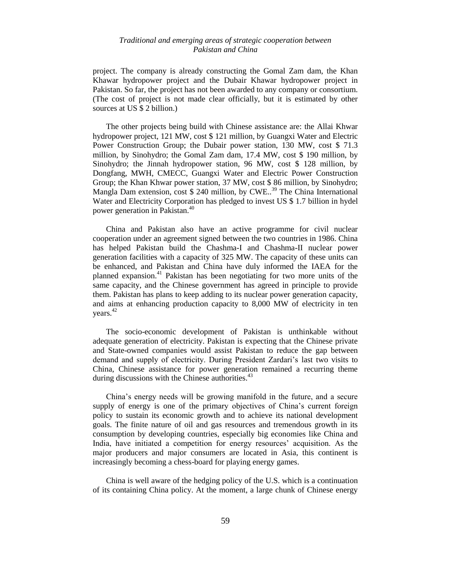project. The company is already constructing the Gomal Zam dam, the Khan Khawar hydropower project and the Dubair Khawar hydropower project in Pakistan. So far, the project has not been awarded to any company or consortium. (The cost of project is not made clear officially, but it is estimated by other sources at US \$ 2 billion.)

The other projects being build with Chinese assistance are: the Allai Khwar hydropower project, 121 MW, cost \$ 121 million, by Guangxi Water and Electric Power Construction Group; the Dubair power station, 130 MW, cost \$ 71.3 million, by Sinohydro; the Gomal Zam dam, 17.4 MW, cost \$ 190 million, by Sinohydro; the Jinnah hydropower station, 96 MW, cost \$ 128 million, by Dongfang, MWH, CMECC, Guangxi Water and Electric Power Construction Group; the Khan Khwar power station, 37 MW, cost \$ 86 million, by Sinohydro; Mangla Dam extension, cost \$ 240 million, by CWE.<sup>39</sup> The China International Water and Electricity Corporation has pledged to invest US \$ 1.7 billion in hydel power generation in Pakistan.<sup>40</sup>

China and Pakistan also have an active programme for civil nuclear cooperation under an agreement signed between the two countries in 1986. China has helped Pakistan build the Chashma-I and Chashma-II nuclear power generation facilities with a capacity of 325 MW. The capacity of these units can be enhanced, and Pakistan and China have duly informed the IAEA for the planned expansion.<sup>41</sup> Pakistan has been negotiating for two more units of the same capacity, and the Chinese government has agreed in principle to provide them. Pakistan has plans to keep adding to its nuclear power generation capacity, and aims at enhancing production capacity to 8,000 MW of electricity in ten years.<sup>42</sup>

The socio-economic development of Pakistan is unthinkable without adequate generation of electricity. Pakistan is expecting that the Chinese private and State-owned companies would assist Pakistan to reduce the gap between demand and supply of electricity. During President Zardari"s last two visits to China, Chinese assistance for power generation remained a recurring theme during discussions with the Chinese authorities.<sup>43</sup>

China"s energy needs will be growing manifold in the future, and a secure supply of energy is one of the primary objectives of China"s current foreign policy to sustain its economic growth and to achieve its national development goals. The finite nature of oil and gas resources and tremendous growth in its consumption by developing countries, especially big economies like China and India, have initiated a competition for energy resources' acquisition. As the major producers and major consumers are located in Asia, this continent is increasingly becoming a chess-board for playing energy games.

China is well aware of the hedging policy of the U.S. which is a continuation of its containing China policy. At the moment, a large chunk of Chinese energy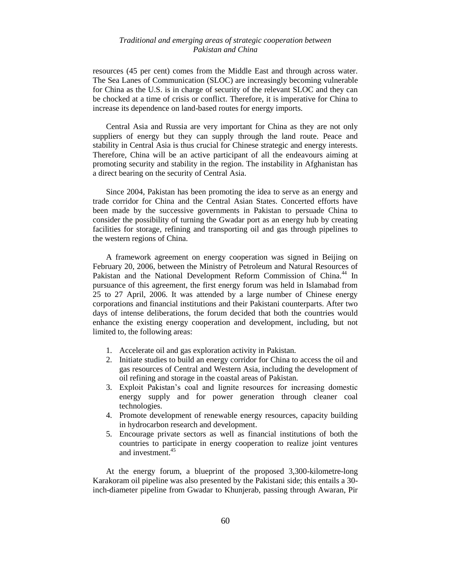resources (45 per cent) comes from the Middle East and through across water. The Sea Lanes of Communication (SLOC) are increasingly becoming vulnerable for China as the U.S. is in charge of security of the relevant SLOC and they can be chocked at a time of crisis or conflict. Therefore, it is imperative for China to increase its dependence on land-based routes for energy imports.

Central Asia and Russia are very important for China as they are not only suppliers of energy but they can supply through the land route. Peace and stability in Central Asia is thus crucial for Chinese strategic and energy interests. Therefore, China will be an active participant of all the endeavours aiming at promoting security and stability in the region. The instability in Afghanistan has a direct bearing on the security of Central Asia.

Since 2004, Pakistan has been promoting the idea to serve as an energy and trade corridor for China and the Central Asian States. Concerted efforts have been made by the successive governments in Pakistan to persuade China to consider the possibility of turning the Gwadar port as an energy hub by creating facilities for storage, refining and transporting oil and gas through pipelines to the western regions of China.

A framework agreement on energy cooperation was signed in Beijing on February 20, 2006, between the Ministry of Petroleum and Natural Resources of Pakistan and the National Development Reform Commission of China.<sup>44</sup> In pursuance of this agreement, the first energy forum was held in Islamabad from 25 to 27 April, 2006. It was attended by a large number of Chinese energy corporations and financial institutions and their Pakistani counterparts. After two days of intense deliberations, the forum decided that both the countries would enhance the existing energy cooperation and development, including, but not limited to, the following areas:

- 1. Accelerate oil and gas exploration activity in Pakistan.
- 2. Initiate studies to build an energy corridor for China to access the oil and gas resources of Central and Western Asia, including the development of oil refining and storage in the coastal areas of Pakistan.
- 3. Exploit Pakistan"s coal and lignite resources for increasing domestic energy supply and for power generation through cleaner coal technologies.
- 4. Promote development of renewable energy resources, capacity building in hydrocarbon research and development.
- 5. Encourage private sectors as well as financial institutions of both the countries to participate in energy cooperation to realize joint ventures and investment.<sup>45</sup>

At the energy forum, a blueprint of the proposed 3,300-kilometre-long Karakoram oil pipeline was also presented by the Pakistani side; this entails a 30 inch-diameter pipeline from Gwadar to Khunjerab, passing through Awaran, Pir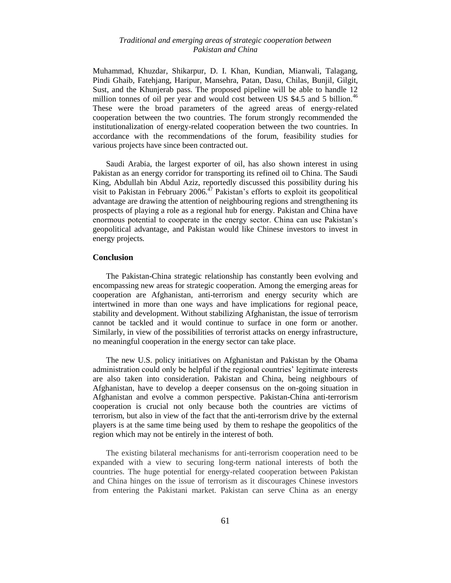Muhammad, Khuzdar, Shikarpur, D. I. Khan, Kundian, Mianwali, Talagang, Pindi Ghaib, Fatehjang, Haripur, Mansehra, Patan, Dasu, Chilas, Bunjil, Gilgit, Sust, and the Khunjerab pass. The proposed pipeline will be able to handle 12 million tonnes of oil per year and would cost between US \$4.5 and 5 billion.<sup>46</sup> These were the broad parameters of the agreed areas of energy-related cooperation between the two countries. The forum strongly recommended the institutionalization of energy-related cooperation between the two countries. In accordance with the recommendations of the forum, feasibility studies for various projects have since been contracted out.

Saudi Arabia, the largest exporter of oil, has also shown interest in using Pakistan as an energy corridor for transporting its refined oil to China. The Saudi King, Abdullah bin Abdul Aziz, reportedly discussed this possibility during his visit to Pakistan in February 2006.<sup> $47$ </sup> Pakistan's efforts to exploit its geopolitical advantage are drawing the attention of neighbouring regions and strengthening its prospects of playing a role as a regional hub for energy. Pakistan and China have enormous potential to cooperate in the energy sector. China can use Pakistan"s geopolitical advantage, and Pakistan would like Chinese investors to invest in energy projects.

#### **Conclusion**

The Pakistan-China strategic relationship has constantly been evolving and encompassing new areas for strategic cooperation. Among the emerging areas for cooperation are Afghanistan, anti-terrorism and energy security which are intertwined in more than one ways and have implications for regional peace, stability and development. Without stabilizing Afghanistan, the issue of terrorism cannot be tackled and it would continue to surface in one form or another. Similarly, in view of the possibilities of terrorist attacks on energy infrastructure, no meaningful cooperation in the energy sector can take place.

The new U.S. policy initiatives on Afghanistan and Pakistan by the Obama administration could only be helpful if the regional countries" legitimate interests are also taken into consideration. Pakistan and China, being neighbours of Afghanistan, have to develop a deeper consensus on the on-going situation in Afghanistan and evolve a common perspective. Pakistan-China anti-terrorism cooperation is crucial not only because both the countries are victims of terrorism, but also in view of the fact that the anti-terrorism drive by the external players is at the same time being used by them to reshape the geopolitics of the region which may not be entirely in the interest of both.

The existing bilateral mechanisms for anti-terrorism cooperation need to be expanded with a view to securing long-term national interests of both the countries. The huge potential for energy-related cooperation between Pakistan and China hinges on the issue of terrorism as it discourages Chinese investors from entering the Pakistani market. Pakistan can serve China as an energy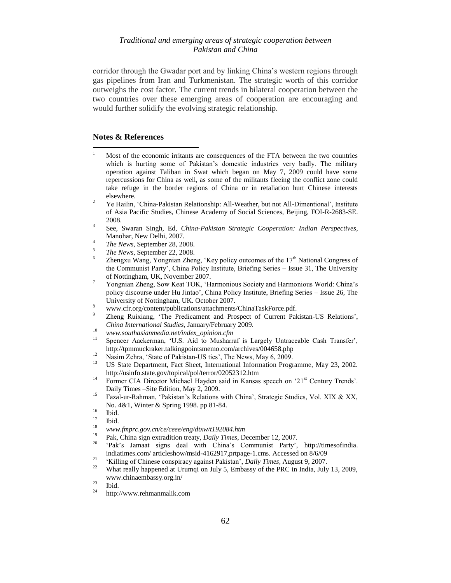corridor through the Gwadar port and by linking China"s western regions through gas pipelines from Iran and Turkmenistan. The strategic worth of this corridor outweighs the cost factor. The current trends in bilateral cooperation between the two countries over these emerging areas of cooperation are encouraging and would further solidify the evolving strategic relationship.

# **Notes & References**

 $\overline{a}$ 

- <sup>1</sup> Most of the economic irritants are consequences of the FTA between the two countries which is hurting some of Pakistan's domestic industries very badly. The military operation against Taliban in Swat which began on May 7, 2009 could have some repercussions for China as well, as some of the militants fleeing the conflict zone could take refuge in the border regions of China or in retaliation hurt Chinese interests elsewhere.
- <sup>2</sup> Ye Hailin, 'China-Pakistan Relationship: All-Weather, but not All-Dimentional', Institute of Asia Pacific Studies, Chinese Academy of Social Sciences, Beijing, FOI-R-2683-SE. 2008.
- 3 See, Swaran Singh, Ed, *China-Pakistan Strategic Cooperation: Indian Perspectives*, Manohar, New Delhi, 2007.
- 4 *The News*, September 28, 2008.
- 5 *The News*, September 22, 2008.
- 6 Zhengxu Wang, Yongnian Zheng, 'Key policy outcomes of the  $17<sup>th</sup>$  National Congress of the Communist Party", China Policy Institute, Briefing Series – Issue 31, The University of Nottingham, UK, November 2007.
- <sup>7</sup> Yongnian Zheng, Sow Keat TOK, "Harmonious Society and Harmonious World: China"s policy discourse under Hu Jintao", China Policy Institute, Briefing Series – Issue 26, The University of Nottingham, UK. October 2007.
- 8 www.cfr.org/content/publications/attachments/ChinaTaskForce.pdf.
- 9 Zheng Ruixiang, "The Predicament and Prospect of Current Pakistan-US Relations", *China International Studies*, January/February 2009.
- <sup>10</sup> *www.southasianmedia.net/index\_opinion.cfm*
- Spencer Aackerman, 'U.S. Aid to Musharraf is Largely Untraceable Cash Transfer', http://tpmmuckraker.talkingpointsmemo.com/archives/004658.php
- <sup>12</sup> Nasim Zehra, 'State of Pakistan-US ties', The News, May 6, 2009.
- US State Department, Fact Sheet, International Information Programme, May 23, 2002. http://usinfo.state.gov/topical/pol/terror/02052312.htm
- <sup>14</sup> Former CIA Director Michael Hayden said in Kansas speech on '21<sup>st</sup> Century Trends'. Daily Times –Site Edition, May 2, 2009.
- <sup>15</sup> Fazal-ur-Rahman, 'Pakistan's Relations with China', Strategic Studies, Vol. XIX & XX, No. 4&1, Winter & Spring 1998. pp 81-84.
- $\frac{16}{17}$  Ibid.
- $\frac{17}{18}$  Ibid.
- <sup>18</sup> *www.fmprc.gov.cn/ce/ceee/eng/dtxw/t192084.htm*
- <sup>19</sup> Pak, China sign extradition treaty, *Daily Times*, December 12, 2007.
- 'Pak's Jamaat signs deal with China's Communist Party', [http://timesofindia.](http://timesofindia/) indiatimes.com/ articleshow/msid-4162917,prtpage-1.cms. Accessed on 8/6/09
- <sup>21</sup> "Killing of Chinese conspiracy against Pakistan", *Daily Times*, August 9, 2007.
- <sup>22</sup> What really happened at Urumqi on July 5, Embassy of the PRC in India, July 13, 2009, www.chinaembassy.org.in/
- $\frac{23}{24}$  Ibid.

http://www.rehmanmalik.com